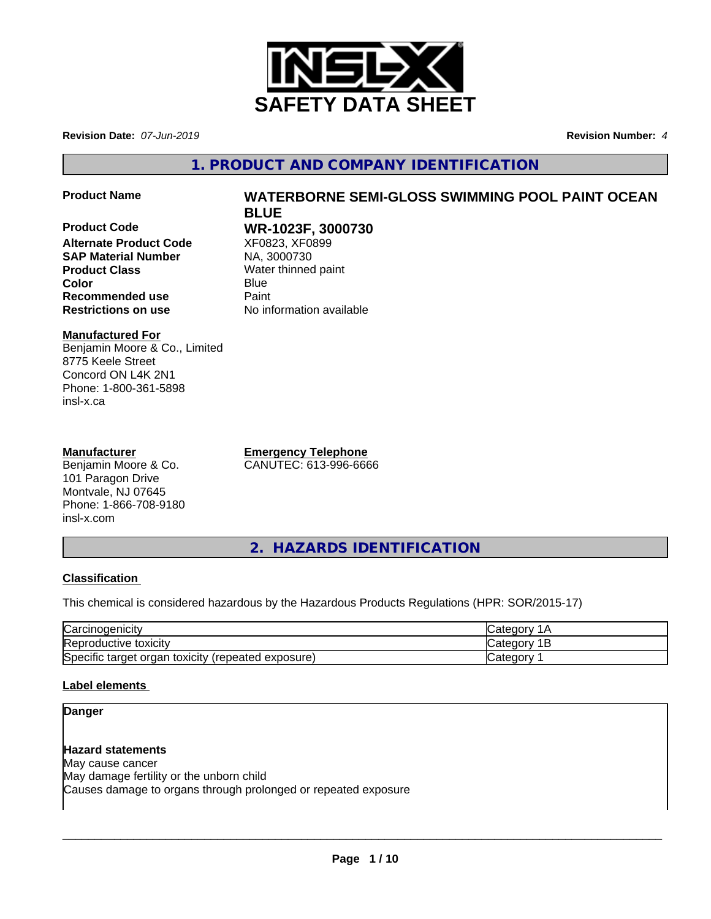

**Revision Date:** *07-Jun-2019* **Revision Number:** *4*

**1. PRODUCT AND COMPANY IDENTIFICATION**

**Product Name WATERBORNE SEMI-GLOSS SWIMMING POOL PAINT OCEAN**

**Product Code WR-1023F, 3000730 Alternate Product Code** XF0823, XF08<br> **SAP Material Number** NA, 3000730 **SAP Material Number Product Class** Water thinned paint **Color** Blue Blue **Recommended use Faint Restrictions on use** No information available

# **Manufactured For**

Benjamin Moore & Co., Limited 8775 Keele Street Concord ON L4K 2N1 Phone: 1-800-361-5898 insl-x.ca

# **Manufacturer**

Benjamin Moore & Co. 101 Paragon Drive Montvale, NJ 07645 Phone: 1-866-708-9180 insl-x.com

**Emergency Telephone** CANUTEC: 613-996-6666

**BLUE**

**2. HAZARDS IDENTIFICATION**

# **Classification**

This chemical is considered hazardous by the Hazardous Products Regulations (HPR: SOR/2015-17)

| ⌒<br>'oroir<br>rcinoaenicit                                   | $\sim$                                            |
|---------------------------------------------------------------|---------------------------------------------------|
| <b>Repr</b><br>roductive toxicitv                             | $\sim$ $\sim$ $\sim$<br>$\sim$ $+$ $\sim$<br>valt |
| Specific target<br>toxicity<br>(repeated exposure)<br>' orɑan | $\sim$ $\sim$ $\sim$ $\sim$<br>- 000<br>valcu     |

# **Label elements**

# **Danger**

# **Hazard statements**

May cause cancer May damage fertility or the unborn child Causes damage to organs through prolonged or repeated exposure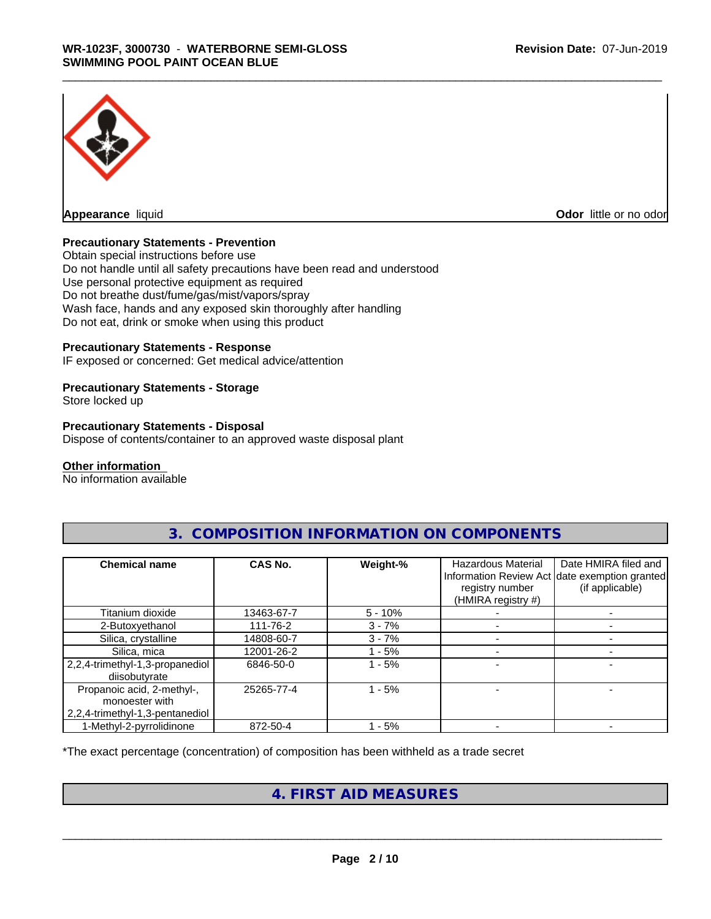

**Odor** little or no odor

# **Precautionary Statements - Prevention**

Obtain special instructions before use Do not handle until all safety precautions have been read and understood Use personal protective equipment as required Do not breathe dust/fume/gas/mist/vapors/spray Wash face, hands and any exposed skin thoroughly after handling Do not eat, drink or smoke when using this product

# **Precautionary Statements - Response**

IF exposed or concerned: Get medical advice/attention

### **Precautionary Statements - Storage**

Store locked up

### **Precautionary Statements - Disposal**

Dispose of contents/container to an approved waste disposal plant

#### **Other information**

No information available

| <b>Chemical name</b>                                                            | <b>CAS No.</b> | Weight-%  | <b>Hazardous Material</b><br>registry number<br>(HMIRA registry #) | Date HMIRA filed and<br>Information Review Act date exemption granted<br>(if applicable) |
|---------------------------------------------------------------------------------|----------------|-----------|--------------------------------------------------------------------|------------------------------------------------------------------------------------------|
| Titanium dioxide                                                                | 13463-67-7     | $5 - 10%$ |                                                                    |                                                                                          |
| 2-Butoxyethanol                                                                 | 111-76-2       | $3 - 7%$  |                                                                    |                                                                                          |
| Silica, crystalline                                                             | 14808-60-7     | $3 - 7%$  |                                                                    |                                                                                          |
| Silica, mica                                                                    | 12001-26-2     | - 5%      |                                                                    |                                                                                          |
| 2,2,4-trimethyl-1,3-propanediol<br>diisobutyrate                                | 6846-50-0      | - 5%      |                                                                    |                                                                                          |
| Propanoic acid, 2-methyl-,<br>monoester with<br>2,2,4-trimethyl-1,3-pentanediol | 25265-77-4     | $1 - 5%$  |                                                                    |                                                                                          |
| 1-Methyl-2-pyrrolidinone                                                        | 872-50-4       | - 5%      |                                                                    |                                                                                          |

# **3. COMPOSITION INFORMATION ON COMPONENTS**

\*The exact percentage (concentration) of composition has been withheld as a trade secret

# **4. FIRST AID MEASURES**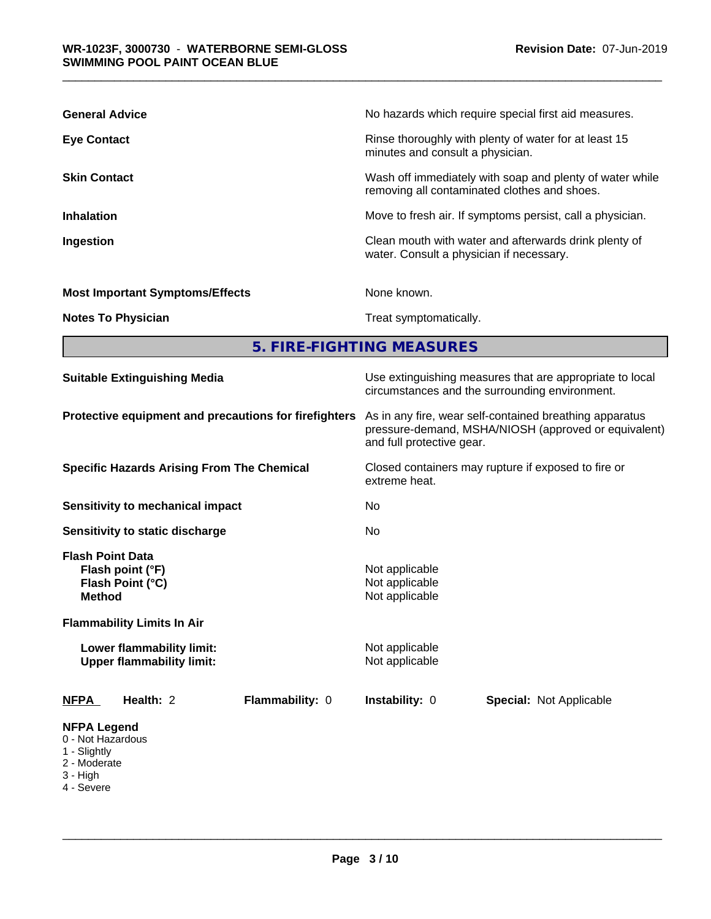| <b>General Advice</b>                  | No hazards which require special first aid measures.                                                     |
|----------------------------------------|----------------------------------------------------------------------------------------------------------|
| <b>Eye Contact</b>                     | Rinse thoroughly with plenty of water for at least 15<br>minutes and consult a physician.                |
| <b>Skin Contact</b>                    | Wash off immediately with soap and plenty of water while<br>removing all contaminated clothes and shoes. |
| <b>Inhalation</b>                      | Move to fresh air. If symptoms persist, call a physician.                                                |
| Ingestion                              | Clean mouth with water and afterwards drink plenty of<br>water. Consult a physician if necessary.        |
| <b>Most Important Symptoms/Effects</b> | None known.                                                                                              |
| <b>Notes To Physician</b>              | Treat symptomatically.                                                                                   |

**5. FIRE-FIGHTING MEASURES**

| <b>Suitable Extinguishing Media</b>                                                                                   | Use extinguishing measures that are appropriate to local<br>circumstances and the surrounding environment.                                   |     |  |  |  |
|-----------------------------------------------------------------------------------------------------------------------|----------------------------------------------------------------------------------------------------------------------------------------------|-----|--|--|--|
| Protective equipment and precautions for firefighters                                                                 | As in any fire, wear self-contained breathing apparatus<br>pressure-demand, MSHA/NIOSH (approved or equivalent)<br>and full protective gear. |     |  |  |  |
| <b>Specific Hazards Arising From The Chemical</b>                                                                     | Closed containers may rupture if exposed to fire or<br>extreme heat.                                                                         |     |  |  |  |
| <b>Sensitivity to mechanical impact</b>                                                                               | No.                                                                                                                                          | No. |  |  |  |
| Sensitivity to static discharge                                                                                       |                                                                                                                                              |     |  |  |  |
| <b>Flash Point Data</b><br>Flash point (°F)<br>Flash Point (°C)<br><b>Method</b><br><b>Flammability Limits In Air</b> | Not applicable<br>Not applicable<br>Not applicable                                                                                           |     |  |  |  |
| Lower flammability limit:<br><b>Upper flammability limit:</b>                                                         | Not applicable<br>Not applicable                                                                                                             |     |  |  |  |
| Health: 2<br>Flammability: 0<br><b>NFPA</b>                                                                           | Instability: 0<br><b>Special: Not Applicable</b>                                                                                             |     |  |  |  |
| <b>NFPA Legend</b><br>0 - Not Hazardous<br>1 - Slightly<br>2 - Moderate<br>3 - High                                   |                                                                                                                                              |     |  |  |  |

4 - Severe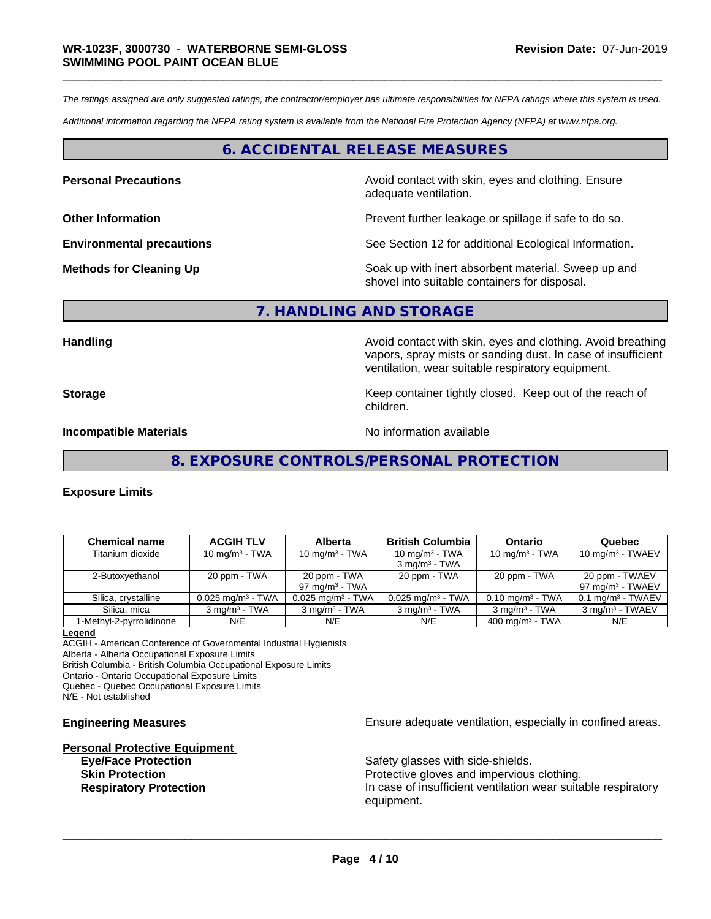*The ratings assigned are only suggested ratings, the contractor/employer has ultimate responsibilities for NFPA ratings where this system is used.*

*Additional information regarding the NFPA rating system is available from the National Fire Protection Agency (NFPA) at www.nfpa.org.*

# **6. ACCIDENTAL RELEASE MEASURES**

**Personal Precautions Avoid contact with skin, eyes and clothing. Ensure** Avoid contact with skin, eyes and clothing. Ensure adequate ventilation.

**Other Information Determined Information Prevent further leakage or spillage if safe to do so.** 

**Environmental precautions** See Section 12 for additional Ecological Information.

**Methods for Cleaning Up Example 20 Soak** up with inert absorbent material. Sweep up and shovel into suitable containers for disposal.

### **7. HANDLING AND STORAGE**

Handling **Handling Handling Avoid contact with skin, eyes and clothing. Avoid breathing** vapors, spray mists or sanding dust. In case of insufficient ventilation, wear suitable respiratory equipment.

**Storage Keep container tightly closed. Keep out of the reach of the reach of the reach of the reach of the reach of the reach of the reach of the reach of the reach of the reach of the reach of the reach of the reach of** children.

**Incompatible Materials No information available No information available** 

**8. EXPOSURE CONTROLS/PERSONAL PROTECTION**

### **Exposure Limits**

| <b>Chemical name</b>     | <b>ACGIH TLV</b>                | Alberta                           | <b>British Columbia</b>                       | Ontario                        | Quebec                                        |
|--------------------------|---------------------------------|-----------------------------------|-----------------------------------------------|--------------------------------|-----------------------------------------------|
| Titanium dioxide         | $10 \text{ mg/m}^3$ - TWA       | 10 mg/m $3$ - TWA                 | 10 mg/m $3$ - TWA<br>$3 \text{ mg/m}^3$ - TWA | 10 mg/m $3$ - TWA              | 10 mg/m $3$ - TWAEV                           |
| 2-Butoxyethanol          | 20 ppm - TWA                    | 20 ppm - TWA<br>97 mg/m $3$ - TWA | 20 ppm - TWA                                  | 20 ppm - TWA                   | 20 ppm - TWAEV<br>$97 \text{ mg/m}^3$ - TWAEV |
| Silica, crystalline      | $0.025$ mg/m <sup>3</sup> - TWA | $0.025$ mg/m <sup>3</sup> - TWA   | $0.025$ mg/m <sup>3</sup> - TWA               | $0.10$ mg/m <sup>3</sup> - TWA | $0.1$ ma/m <sup>3</sup> - TWAEV               |
| Silica, mica             | $3 \text{ ma/m}^3$ - TWA        | $3$ mg/m <sup>3</sup> - TWA       | $3 \text{ mg/m}^3$ - TWA                      | $3 \text{ mg/m}^3$ - TWA       | 3 mg/m <sup>3</sup> - TWAEV                   |
| 1-Methyl-2-pyrrolidinone | N/E                             | N/E                               | N/E                                           | $400 \text{ mg/m}^3$ - TWA     | N/E                                           |

**Legend**

ACGIH - American Conference of Governmental Industrial Hygienists Alberta - Alberta Occupational Exposure Limits British Columbia - British Columbia Occupational Exposure Limits

Ontario - Ontario Occupational Exposure Limits

Quebec - Quebec Occupational Exposure Limits

N/E - Not established

# **Personal Protective Equipment Eye/Face Protection** Safety glasses with side-shields.

**Engineering Measures Ensure** Ensure adequate ventilation, especially in confined areas.

**Skin Protection Protection Protective gloves and impervious clothing. Respiratory Protection In case of insufficient ventilation wear suitable respiratory** equipment.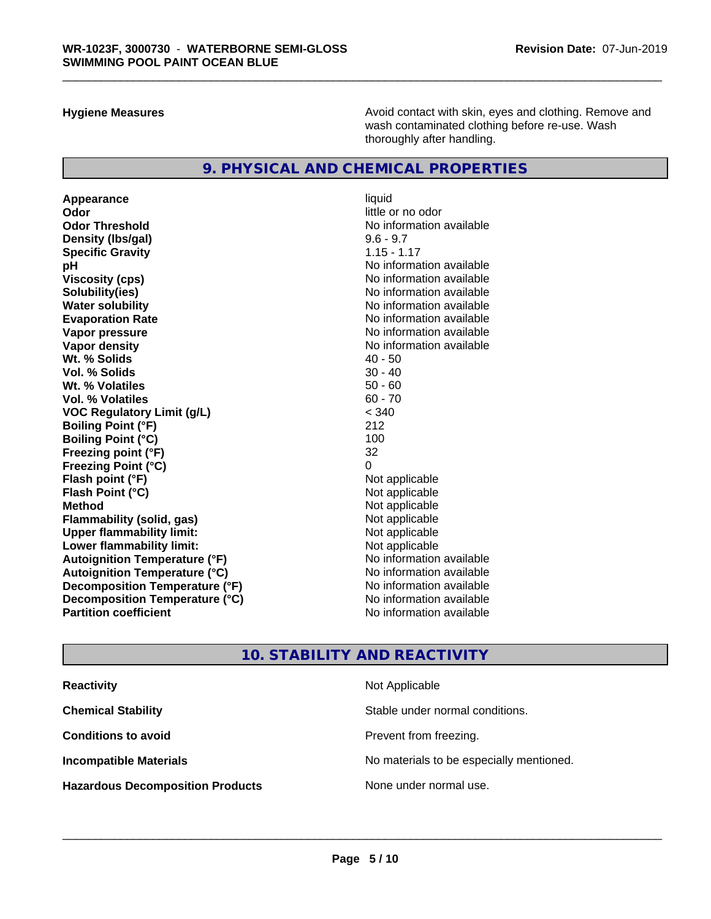**Hygiene Measures Avoid contact with skin, eyes and clothing. Remove and Avoid contact with skin, eyes and clothing. Remove and** wash contaminated clothing before re-use. Wash thoroughly after handling.

# **9. PHYSICAL AND CHEMICAL PROPERTIES**

**Appearance** liquid **Odor** little or no odor **Odor Threshold No information available** No information available **Density (Ibs/gal)** 9.6 - 9.7 **Specific Gravity** 1.15 - 1.17 **pH pH**  $\blacksquare$ **Viscosity (cps)** No information available **Solubility(ies)** No information available **Evaporation Rate No information available No information available Vapor pressure** No information available **Vapor density No information available No** information available **Wt. % Solids** 40 - 50 **Vol. % Solids Wt. % Volatiles** 50 - 60 **Vol. % Volatiles** 60 - 70 **VOC Regulatory Limit (g/L)** < 340 **Boiling Point (°F)** 212 **Boiling Point (°C)** 100 **Freezing point (°F)** 32 **Freezing Point (°C)**<br> **Flash point (°F)**<br> **Flash point (°F)**<br> **Point (°F)**<br> **Point (°F)**<br> **Point (°F)**<br> **Point (°F) Flash point (°F)**<br> **Flash Point (°C)**<br> **Flash Point (°C)**<br> **C Flash Point (°C) Method** Not applicable **Flammability (solid, gas)** Not applicable<br> **Upper flammability limit:** Not applicable **Upper flammability limit: Lower flammability limit:**<br> **Autoignition Temperature (°F)** Not applicable havailable available **Autoignition Temperature (°F) Autoignition Temperature (°C)** No information available **Decomposition Temperature (°F)** No information available **Decomposition Temperature (°C)** No information available **Partition coefficient Contract Contract Contract Contract Contract Contract Contract Contract Contract Contract Contract Contract Contract Contract Contract Contract Contract Contract Contract Contract Contract Contract** 

**No information available** 

# **10. STABILITY AND REACTIVITY**

| <b>Reactivity</b>                       | Not Applicable                           |
|-----------------------------------------|------------------------------------------|
| <b>Chemical Stability</b>               | Stable under normal conditions.          |
| <b>Conditions to avoid</b>              | Prevent from freezing.                   |
| <b>Incompatible Materials</b>           | No materials to be especially mentioned. |
| <b>Hazardous Decomposition Products</b> | None under normal use.                   |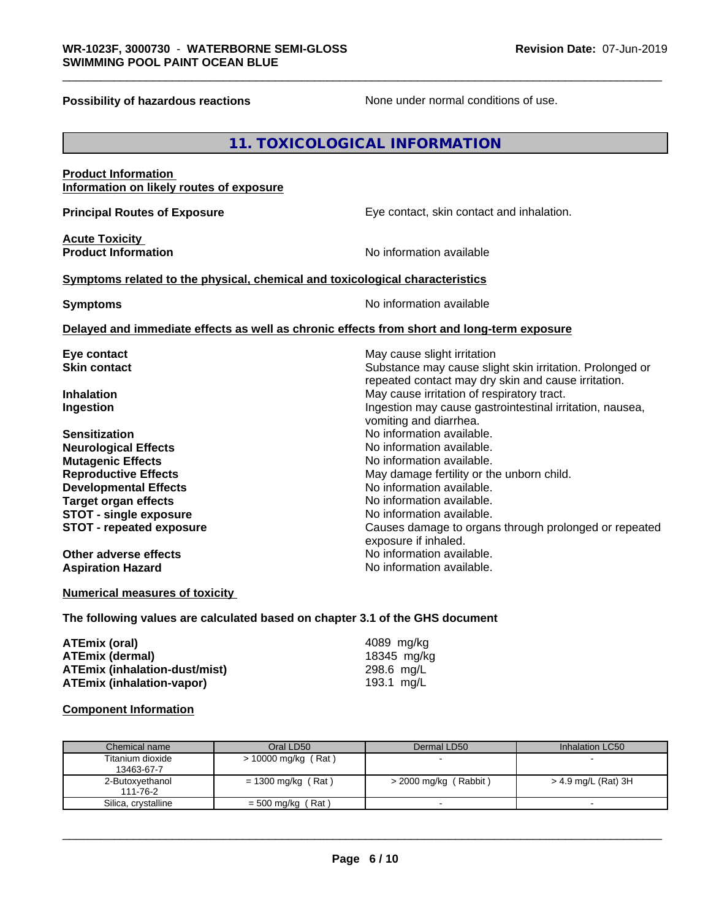**Possibility of hazardous reactions** None under normal conditions of use.

# **11. TOXICOLOGICAL INFORMATION**

### **Product Information Information on likely routes of exposure**

**Acute Toxicity** 

**Principal Routes of Exposure Exposure** Eye contact, skin contact and inhalation.

**Product Information** 

#### **Symptoms** related to the physical, chemical and toxicological characteristics

**Symptoms** No information available

### **Delayed and immediate effects as well as chronic effects from short and long-term exposure**

| Causes damage to organs through prolonged or repeated |
|-------------------------------------------------------|
|                                                       |
|                                                       |
|                                                       |
|                                                       |

# **Numerical measures of toxicity**

**The following values are calculated based on chapter 3.1 of the GHS document**

| ATEmix (oral)                 | 4089 mg/ka  |
|-------------------------------|-------------|
| <b>ATEmix (dermal)</b>        | 18345 mg/kg |
| ATEmix (inhalation-dust/mist) | 298.6 mg/L  |
| ATEmix (inhalation-vapor)     | 193.1 ma/L  |

#### **Component Information**

| Chemical name       | Oral LD50             | Dermal LD50              | Inhalation LC50     |
|---------------------|-----------------------|--------------------------|---------------------|
| Titanium dioxide    | $> 10000$ mg/kg (Rat) |                          |                     |
| 13463-67-7          |                       |                          |                     |
| 2-Butoxyethanol     | = 1300 mg/kg (Rat)    | $>$ 2000 mg/kg (Rabbit)  | > 4.9 mg/L (Rat) 3H |
| 111-76-2            |                       |                          |                     |
| Silica, crystalline | $= 500$ mg/kg (Rat)   | $\overline{\phantom{0}}$ |                     |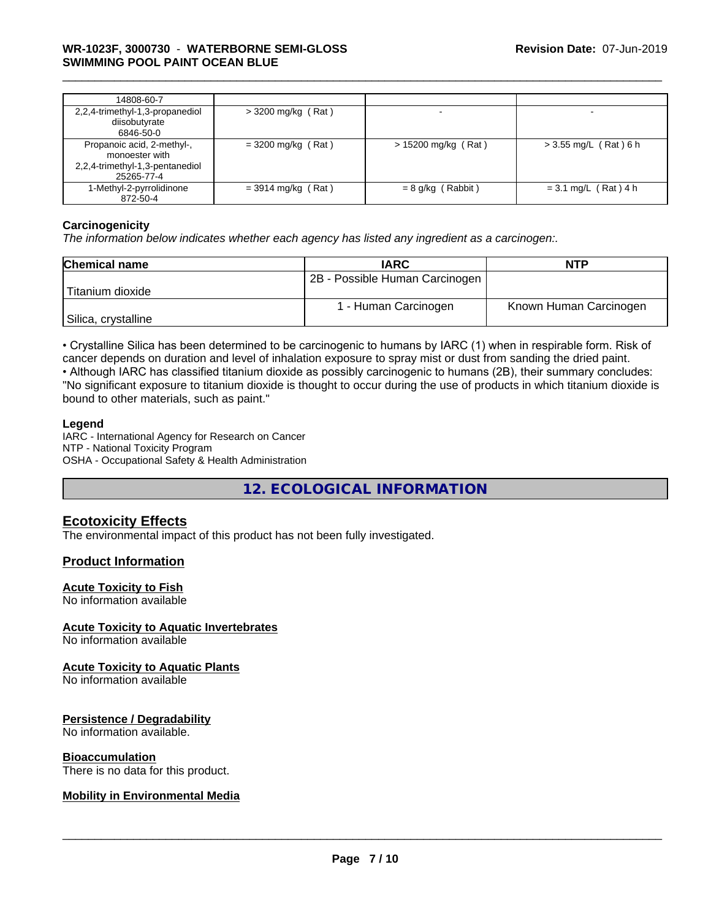| 14808-60-7                                                                                    |                      |                       |                         |
|-----------------------------------------------------------------------------------------------|----------------------|-----------------------|-------------------------|
| 2,2,4-trimethyl-1,3-propanediol<br>diisobutyrate<br>6846-50-0                                 | $>$ 3200 mg/kg (Rat) |                       |                         |
| Propanoic acid, 2-methyl-,<br>monoester with<br>2,2,4-trimethyl-1,3-pentanediol<br>25265-77-4 | $= 3200$ mg/kg (Rat) | $> 15200$ mg/kg (Rat) | $>$ 3.55 mg/L (Rat) 6 h |
| 1-Methyl-2-pyrrolidinone<br>872-50-4                                                          | $=$ 3914 mg/kg (Rat) | $= 8$ g/kg (Rabbit)   | $= 3.1$ mg/L (Rat) 4 h  |

### **Carcinogenicity**

*The information below indicateswhether each agency has listed any ingredient as a carcinogen:.*

| <b>Chemical name</b> | <b>IARC</b>                    | <b>NTP</b>             |
|----------------------|--------------------------------|------------------------|
|                      | 2B - Possible Human Carcinogen |                        |
| Titanium dioxide     |                                |                        |
|                      | 1 - Human Carcinogen           | Known Human Carcinogen |
| Silica, crystalline  |                                |                        |

• Crystalline Silica has been determined to be carcinogenic to humans by IARC (1) when in respirable form. Risk of cancer depends on duration and level of inhalation exposure to spray mist or dust from sanding the dried paint.

• Although IARC has classified titanium dioxide as possibly carcinogenic to humans (2B), their summary concludes: "No significant exposure to titanium dioxide is thought to occur during the use of products in which titanium dioxide is bound to other materials, such as paint."

# **Legend**

IARC - International Agency for Research on Cancer NTP - National Toxicity Program OSHA - Occupational Safety & Health Administration

**12. ECOLOGICAL INFORMATION**

# **Ecotoxicity Effects**

The environmental impact of this product has not been fully investigated.

# **Product Information**

### **Acute Toxicity to Fish**

No information available

### **Acute Toxicity to Aquatic Invertebrates**

No information available

### **Acute Toxicity to Aquatic Plants**

No information available

### **Persistence / Degradability**

No information available.

### **Bioaccumulation**

There is no data for this product.

### **Mobility in Environmental Media**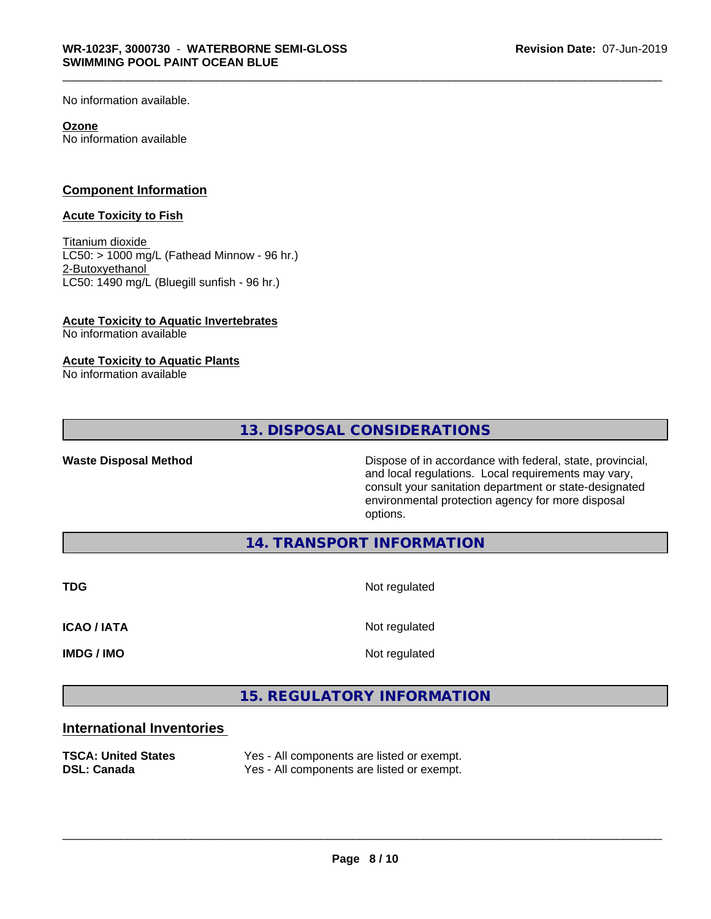No information available.

#### **Ozone**

No information available

# **Component Information**

#### **Acute Toxicity to Fish**

Titanium dioxide  $LCS0:$  > 1000 mg/L (Fathead Minnow - 96 hr.) 2-Butoxyethanol LC50: 1490 mg/L (Bluegill sunfish - 96 hr.)

# **Acute Toxicity to Aquatic Invertebrates**

No information available

# **Acute Toxicity to Aquatic Plants**

No information available

# **13. DISPOSAL CONSIDERATIONS**

Waste Disposal Method **Dispose of in accordance with federal, state, provincial,** and local regulations. Local requirements may vary, consult your sanitation department or state-designated environmental protection agency for more disposal options.

**14. TRANSPORT INFORMATION**

**TDG** Not regulated

**ICAO / IATA** Not regulated

**IMDG / IMO** Not regulated

 $\overline{\phantom{a}}$  ,  $\overline{\phantom{a}}$  ,  $\overline{\phantom{a}}$  ,  $\overline{\phantom{a}}$  ,  $\overline{\phantom{a}}$  ,  $\overline{\phantom{a}}$  ,  $\overline{\phantom{a}}$  ,  $\overline{\phantom{a}}$  ,  $\overline{\phantom{a}}$  ,  $\overline{\phantom{a}}$  ,  $\overline{\phantom{a}}$  ,  $\overline{\phantom{a}}$  ,  $\overline{\phantom{a}}$  ,  $\overline{\phantom{a}}$  ,  $\overline{\phantom{a}}$  ,  $\overline{\phantom{a}}$ 

# **15. REGULATORY INFORMATION**

# **International Inventories**

| <b>TSCA: United States</b> | Yes - All components are listed or exempt. |
|----------------------------|--------------------------------------------|
| <b>DSL: Canada</b>         | Yes - All components are listed or exempt. |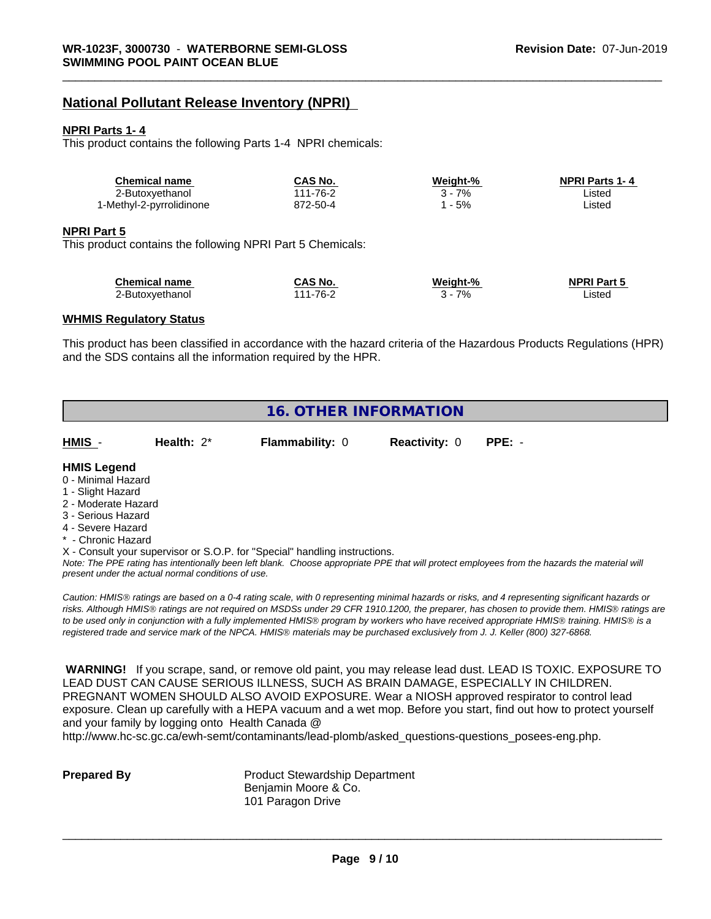# **National Pollutant Release Inventory (NPRI)**

#### **NPRI Parts 1- 4**

This product contains the following Parts 1-4 NPRI chemicals:

| <b>Chemical name</b>     | CAS No.  | Weight-% | <b>NPRI Parts 1-4</b> |  |
|--------------------------|----------|----------|-----------------------|--|
| 2-Butoxyethanol          | 111-76-2 | 7%       | .isted                |  |
| 1-Methyl-2-pyrrolidinone | 872-50-4 | 5%       | _isted                |  |

#### **NPRI Part 5**

This product contains the following NPRI Part 5 Chemicals:

| <b>Chemical name</b> | CAS No.  | Weight-% | <b>NPRI Part 5</b> |
|----------------------|----------|----------|--------------------|
| 2-Butoxvethanol      | 111-76-2 | 7%       | ∟isted             |

#### **WHMIS Regulatory Status**

This product has been classified in accordance with the hazard criteria of the Hazardous Products Regulations (HPR) and the SDS contains all the information required by the HPR.

# **16. OTHER INFORMATION**

| HMIS - | Health: 2* | <b>Flammability: 0</b> | Reactivity: 0 PPE: - |  |
|--------|------------|------------------------|----------------------|--|
|        |            |                        |                      |  |

# **HMIS Legend**

- 0 Minimal Hazard
- 1 Slight Hazard
- 2 Moderate Hazard
- 3 Serious Hazard
- 4 Severe Hazard
- Chronic Hazard

X - Consult your supervisor or S.O.P. for "Special" handling instructions.

*Note: The PPE rating has intentionally been left blank. Choose appropriate PPE that will protect employees from the hazards the material will present under the actual normal conditions of use.*

*Caution: HMISÒ ratings are based on a 0-4 rating scale, with 0 representing minimal hazards or risks, and 4 representing significant hazards or risks. Although HMISÒ ratings are not required on MSDSs under 29 CFR 1910.1200, the preparer, has chosen to provide them. HMISÒ ratings are to be used only in conjunction with a fully implemented HMISÒ program by workers who have received appropriate HMISÒ training. HMISÒ is a registered trade and service mark of the NPCA. HMISÒ materials may be purchased exclusively from J. J. Keller (800) 327-6868.*

 **WARNING!** If you scrape, sand, or remove old paint, you may release lead dust. LEAD IS TOXIC. EXPOSURE TO LEAD DUST CAN CAUSE SERIOUS ILLNESS, SUCH AS BRAIN DAMAGE, ESPECIALLY IN CHILDREN. PREGNANT WOMEN SHOULD ALSO AVOID EXPOSURE.Wear a NIOSH approved respirator to control lead exposure. Clean up carefully with a HEPA vacuum and a wet mop. Before you start, find out how to protect yourself and your family by logging onto Health Canada @

http://www.hc-sc.gc.ca/ewh-semt/contaminants/lead-plomb/asked\_questions-questions\_posees-eng.php.

**Prepared By** Product Stewardship Department Benjamin Moore & Co. 101 Paragon Drive